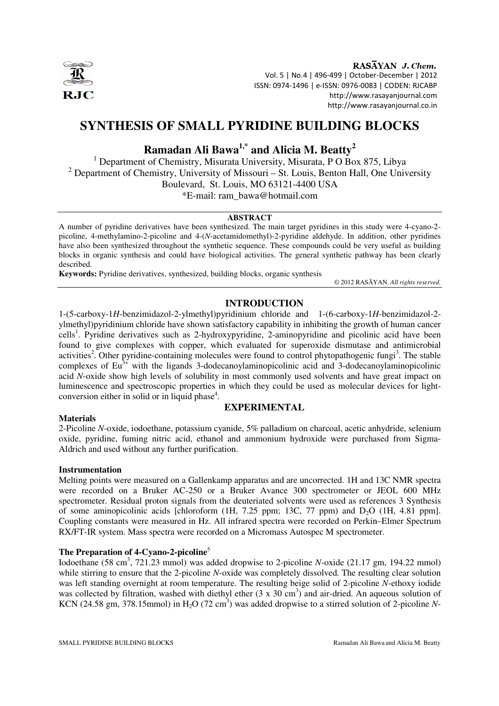

RASAYAN J. Chem. Vol. 5 | No.4 | 496-499 | October-December | 2012 ISSN: 0974-1496 | e-ISSN: 0976-0083 | CODEN: RJCABP http://www.rasayanjournal.com http://www.rasayanjournal.co.in

# **SYNTHESIS OF SMALL PYRIDINE BUILDING BLOCKS**

# **Ramadan Ali Bawa1,\* and Alicia M. Beatty<sup>2</sup>**

<sup>1</sup> Department of Chemistry, Misurata University, Misurata, P O Box 875, Libya <sup>2</sup> Department of Chemistry, University of Missouri – St. Louis, Benton Hall, One University Boulevard, St. Louis, MO 63121-4400 USA \*E-mail: ram\_bawa@hotmail.com

#### **ABSTRACT**

A number of pyridine derivatives have been synthesized. The main target pyridines in this study were 4-cyano-2 picoline, 4-methylamino-2-picoline and 4-(*N*-acetamidomethyl)-2-pyridine aldehyde. In addition, other pyridines have also been synthesized throughout the synthetic sequence. These compounds could be very useful as building blocks in organic synthesis and could have biological activities. The general synthetic pathway has been clearly described.

**Keywords:** Pyridine derivatives, synthesized, building blocks, organic synthesis

© 2012 RASĀYAN. *All rights reserved.*

# **INTRODUCTION**

1-(5-carboxy-1*H*-benzimidazol-2-ylmethyl)pyridinium chloride and 1-(6-carboxy-1*H*-benzimidazol-2 ylmethyl)pyridinium chloride have shown satisfactory capability in inhibiting the growth of human cancer cells<sup>1</sup>. Pyridine derivatives such as 2-hydroxypyridine, 2-aminopyridine and picolinic acid have been found to give complexes with copper, which evaluated for superoxide dismutase and antimicrobial activities<sup>2</sup>. Other pyridine-containing molecules were found to control phytopathogenic fungi<sup>3</sup>. The stable complexes of  $Eu^{3+}$  with the ligands 3-dodecanoylaminopicolinic acid and 3-dodecanoylaminopicolinic acid *N*-oxide show high levels of solubility in most commonly used solvents and have great impact on luminescence and spectroscopic properties in which they could be used as molecular devices for lightconversion either in solid or in liquid phase $4$ .

## **Materials**

# **EXPERIMENTAL**

2-Picoline *N*-oxide, iodoethane, potassium cyanide, 5% palladium on charcoal, acetic anhydride, selenium oxide, pyridine, fuming nitric acid, ethanol and ammonium hydroxide were purchased from Sigma-Aldrich and used without any further purification.

## **Instrumentation**

Melting points were measured on a Gallenkamp apparatus and are uncorrected. 1H and 13C NMR spectra were recorded on a Bruker AC-250 or a Bruker Avance 300 spectrometer or JEOL 600 MHz spectrometer. Residual proton signals from the deuteriated solvents were used as references 3 Synthesis of some aminopicolinic acids [chloroform  $(1H, 7.25$  ppm; 13C, 77 ppm) and  $D_2O$   $(1H, 4.81$  ppm]. Coupling constants were measured in Hz. All infrared spectra were recorded on Perkin–Elmer Spectrum RX/FT-IR system. Mass spectra were recorded on a Micromass Autospec M spectrometer.

# **The Preparation of 4-Cyano-2-picoline**<sup>5</sup>

Iodoethane (58 cm<sup>3</sup>, 721.23 mmol) was added dropwise to 2-picoline *N*-oxide (21.17 gm, 194.22 mmol) while stirring to ensure that the 2-picoline *N*-oxide was completely dissolved. The resulting clear solution was left standing overnight at room temperature. The resulting beige solid of 2-picoline *N*-ethoxy iodide was collected by filtration, washed with diethyl ether  $(3 \times 30 \text{ cm}^3)$  and air-dried. An aqueous solution of KCN (24.58 gm, 378.15mmol) in  $H_2O$  (72 cm<sup>3</sup>) was added dropwise to a stirred solution of 2-picoline N-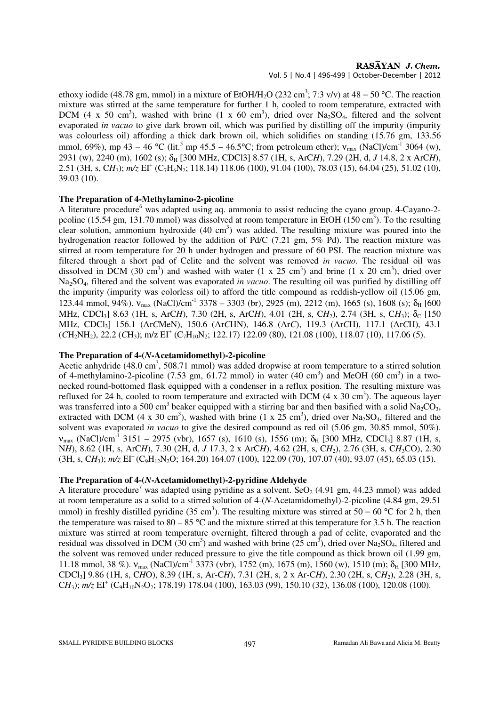RASAYAN J. Chem.

Vol. 5 | No.4 | 496-499 | October-December | 2012

ethoxy iodide (48.78 gm, mmol) in a mixture of EtOH/H<sub>2</sub>O (232 cm<sup>3</sup>; 7:3 v/v) at 48 – 50 °C. The reaction mixture was stirred at the same temperature for further 1 h, cooled to room temperature, extracted with DCM (4 x 50 cm<sup>3</sup>), washed with brine (1 x 60 cm<sup>3</sup>), dried over Na<sub>2</sub>SO<sub>4</sub>, filtered and the solvent evaporated *in vacuo* to give dark brown oil, which was purified by distilling off the impurity (impurity was colourless oil) affording a thick dark brown oil, which solidifies on standing (15.76 gm, 133.56 mmol, 69%), mp 43 – 46 °C (lit.<sup>5</sup> mp 45.5 – 46.5°C; from petroleum ether);  $v_{max}$  (NaCl)/cm<sup>-1</sup> 3064 (w), 2931 (w), 2240 (m), 1602 (s); δH [300 MHz, CDCl3] 8.57 (1H, s, ArC*H*), 7.29 (2H, d, *J* 14.8, 2 x ArC*H*), 2.51 (3H, s, CH<sub>3</sub>);  $m/z \text{ EI}^+$  (C<sub>7</sub>H<sub>6</sub>N<sub>2</sub>; 118.14) 118.06 (100), 91.04 (100), 78.03 (15), 64.04 (25), 51.02 (10), 39.03 (10).

#### **The Preparation of 4-Methylamino-2-picoline**

A literature procedure<sup>6</sup> was adapted using aq. ammonia to assist reducing the cyano group. 4-Cayano-2pcoline (15.54 gm, 131.70 mmol) was dissolved at room temperature in EtOH (150 cm<sup>3</sup>). To the resulting clear solution, ammonium hydroxide  $(40 \text{ cm}^3)$  was added. The resulting mixture was poured into the hydrogenation reactor followed by the addition of Pd/C (7.21 gm, 5% Pd). The reaction mixture was stirred at room temperature for 20 h under hydrogen and pressure of 60 PSI. The reaction mixture was filtered through a short pad of Celite and the solvent was removed *in vacuo*. The residual oil was dissolved in DCM (30 cm<sup>3</sup>) and washed with water (1 x 25 cm<sup>3</sup>) and brine (1 x 20 cm<sup>3</sup>), dried over Na2SO4, filtered and the solvent was evaporated *in vacuo*. The resulting oil was purified by distilling off the impurity (impurity was colorless oil) to afford the title compound as reddish-yellow oil (15.06 gm, 123.44 mmol, 94%).  $v_{\text{max}}$  (NaCl)/cm<sup>-1</sup> 3378 – 3303 (br), 2925 (m), 2212 (m), 1665 (s), 1608 (s);  $\delta_{\text{H}}$  [600 MHz, CDCl<sub>3</sub>] 8.63 (1H, s, ArC*H*), 7.30 (2H, s, ArC*H*), 4.01 (2H, s, C*H*<sub>2</sub>), 2.74 (3H, s, C*H*<sub>3</sub>); δ<sub>C</sub> [150 MHz, CDCl3] 156.1 (Ar*C*MeN), 150.6 (Ar*C*HN), 146.8 (Ar*C*), 119.3 (Ar*C*H), 117.1 (Ar*C*H), 43.1 (CH<sub>2</sub>NH<sub>2</sub>), 22.2 (CH<sub>3</sub>); m/z EI<sup>+</sup> (C<sub>7</sub>H<sub>10</sub>N<sub>2</sub>; 122.17) 122.09 (80), 121.08 (100), 118.07 (10), 117.06 (5).

#### **The Preparation of 4-(***N***-Acetamidomethyl)-2-picoline**

Acetic anhydride  $(48.0 \text{ cm}^3, 508.71 \text{ mmol})$  was added dropwise at room temperature to a stirred solution of 4-methylamino-2-picoline (7.53 gm, 61.72 mmol) in water (40 cm<sup>3</sup>) and MeOH (60 cm<sup>3</sup>) in a twonecked round-bottomed flask equipped with a condenser in a reflux position. The resulting mixture was refluxed for 24 h, cooled to room temperature and extracted with DCM  $(4 \times 30 \text{ cm}^3)$ . The aqueous layer was transferred into a 500 cm<sup>3</sup> beaker equipped with a stirring bar and then basified with a solid Na<sub>2</sub>CO<sub>3</sub>, extracted with DCM (4 x 30 cm<sup>3</sup>), washed with brine (1 x  $25 \text{ cm}^3$ ), dried over Na<sub>2</sub>SO<sub>4</sub>, filtered and the solvent was evaporated *in vacuo* to give the desired compound as red oil (5.06 gm, 30.85 mmol, 50%).  $v_{\text{max}}$  (NaCl)/cm<sup>-1</sup> 3151 – 2975 (vbr), 1657 (s), 1610 (s), 1556 (m); δ<sub>H</sub> [300 MHz, CDCl<sub>3</sub>] 8.87 (1H, s, N*H*), 8.62 (1H, s, ArC*H*), 7.30 (2H, d, *J* 17.3, 2 x ArC*H*), 4.62 (2H, s, C*H*2), 2.76 (3H, s, C*H*3CO), 2.30 (3H, s, CH<sub>3</sub>);  $m/z$  EI<sup>+</sup>(C<sub>9</sub>H<sub>12</sub>N<sub>2</sub>O; 164.20) 164.07 (100), 122.09 (70), 107.07 (40), 93.07 (45), 65.03 (15).

#### **The Preparation of 4-(***N***-Acetamidomethyl)-2-pyridine Aldehyde**

A literature procedure<sup>7</sup> was adapted using pyridine as a solvent. SeO<sub>2</sub> (4.91 gm, 44.23 mmol) was added at room temperature as a solid to a stirred solution of 4-(*N*-Acetamidomethyl)-2-picoline (4.84 gm, 29.51 mmol) in freshly distilled pyridine (35 cm<sup>3</sup>). The resulting mixture was stirred at 50 – 60 °C for 2 h, then the temperature was raised to  $80 - 85$  °C and the mixture stirred at this temperature for 3.5 h. The reaction mixture was stirred at room temperature overnight, filtered through a pad of celite, evaporated and the residual was dissolved in DCM (30 cm<sup>3</sup>) and washed with brine (25 cm<sup>3</sup>), dried over Na<sub>2</sub>SO<sub>4</sub>, filtered and the solvent was removed under reduced pressure to give the title compound as thick brown oil (1.99 gm, 11.18 mmol, 38 %).  $v_{\text{max}}$  (NaCl)/cm<sup>-1</sup> 3373 (vbr), 1752 (m), 1675 (m), 1560 (w), 1510 (m);  $\delta_H$  [300 MHz, CDCl3] 9.86 (1H, s, C*H*O), 8.39 (1H, s, Ar-C*H*), 7.31 (2H, s, 2 x Ar-C*H*), 2.30 (2H, s, C*H*2), 2.28 (3H, s, CH<sub>3</sub>);  $m/z \text{ EI}^+$  (C<sub>9</sub>H<sub>10</sub>N<sub>2</sub>O<sub>2</sub>; 178.19) 178.04 (100), 163.03 (99), 150.10 (32), 136.08 (100), 120.08 (100).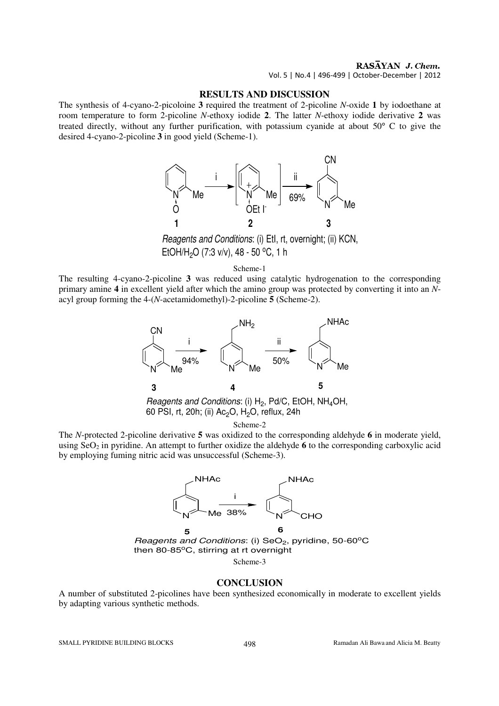## RASĀYAN J. Chem.

Vol. 5 | No.4 | 496-499 | October-December | 2012

## **RESULTS AND DISCUSSION**

The synthesis of 4-cyano-2-picoloine **3** required the treatment of 2-picoline *N*-oxide **1** by iodoethane at room temperature to form 2-picoline *N*-ethoxy iodide **2**. The latter *N*-ethoxy iodide derivative **2** was treated directly, without any further purification, with potassium cyanide at about 50° C to give the desired 4-cyano-2-picoline **3** in good yield (Scheme-1).



Reagents and Conditions: (i) EtI, rt, overnight; (ii) KCN, EtOH/H<sub>2</sub>O (7:3 v/v), 48 - 50 °C, 1 h

Scheme-1

The resulting 4-cyano-2-picoline **3** was reduced using catalytic hydrogenation to the corresponding primary amine **4** in excellent yield after which the amino group was protected by converting it into an *N*acyl group forming the 4-(*N*-acetamidomethyl)-2-picoline **5** (Scheme-2).



*Reagents and Conditions*: (i)  $H_2$ , Pd/C, EtOH, NH<sub>4</sub>OH, 60 PSI, rt, 20h; (ii)  $Ac<sub>2</sub>O$ , H<sub>2</sub>O, reflux, 24h

Scheme-2

The *N*-protected 2-picoline derivative **5** was oxidized to the corresponding aldehyde **6** in moderate yield, using  $SeO<sub>2</sub>$  in pyridine. An attempt to further oxidize the aldehyde **6** to the corresponding carboxylic acid by employing fuming nitric acid was unsuccessful (Scheme-3).



then 80-85 $^{\circ}$ C, stirring at rt overnight

Scheme-3

#### **CONCLUSION**

A number of substituted 2-picolines have been synthesized economically in moderate to excellent yields by adapting various synthetic methods.